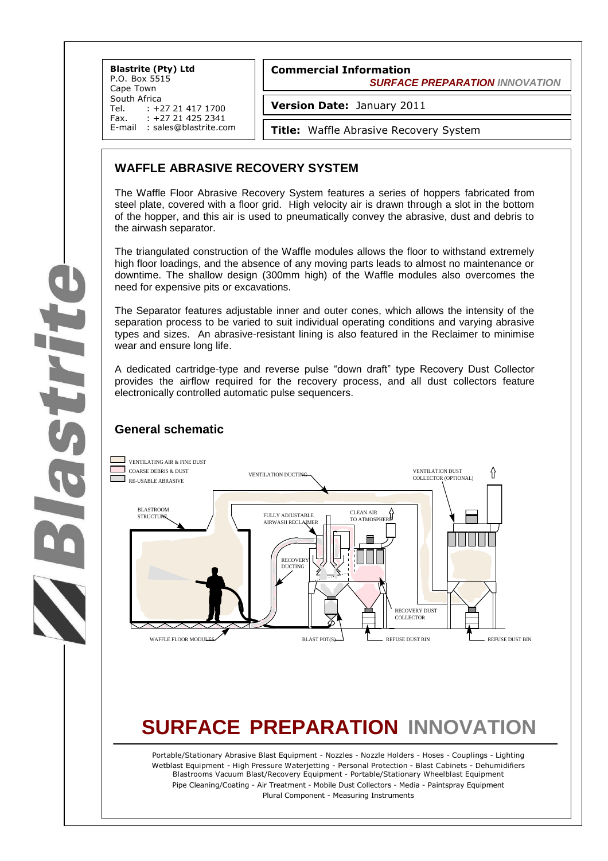**Blastrite (Pty) Ltd** P.O. Box 5515 Cape Town South Africa<br>Tel. : +2 Tel. : +27 21 417 1700<br>Fax. : +27 21 425 2341 +27 21 425 2341 E-mail : sales@blastrite.com

#### **Commercial Information**  *SURFACE PREPARATION INNOVATION*

**Version Date:** January 2011

**Title:** Waffle Abrasive Recovery System

## **WAFFLE ABRASIVE RECOVERY SYSTEM**

The Waffle Floor Abrasive Recovery System features a series of hoppers fabricated from steel plate, covered with a floor grid. High velocity air is drawn through a slot in the bottom of the hopper, and this air is used to pneumatically convey the abrasive, dust and debris to the airwash separator.

The triangulated construction of the Waffle modules allows the floor to withstand extremely high floor loadings, and the absence of any moving parts leads to almost no maintenance or downtime. The shallow design (300mm high) of the Waffle modules also overcomes the need for expensive pits or excavations.

The Separator features adjustable inner and outer cones, which allows the intensity of the separation process to be varied to suit individual operating conditions and varying abrasive types and sizes. An abrasive-resistant lining is also featured in the Reclaimer to minimise wear and ensure long life.

A dedicated cartridge-type and reverse pulse "down draft" type Recovery Dust Collector provides the airflow required for the recovery process, and all dust collectors feature electronically controlled automatic pulse sequencers.

## **General schematic**



# **SURFACE PREPARATION INNOVATION**

Portable/Stationary Abrasive Blast Equipment - Nozzles - Nozzle Holders - Hoses - Couplings - Lighting Wetblast Equipment - High Pressure Waterjetting - Personal Protection - Blast Cabinets - Dehumidifiers Blastrooms Vacuum Blast/Recovery Equipment - Portable/Stationary Wheelblast Equipment Pipe Cleaning/Coating - Air Treatment - Mobile Dust Collectors - Media - Paintspray Equipment Plural Component - Measuring Instruments